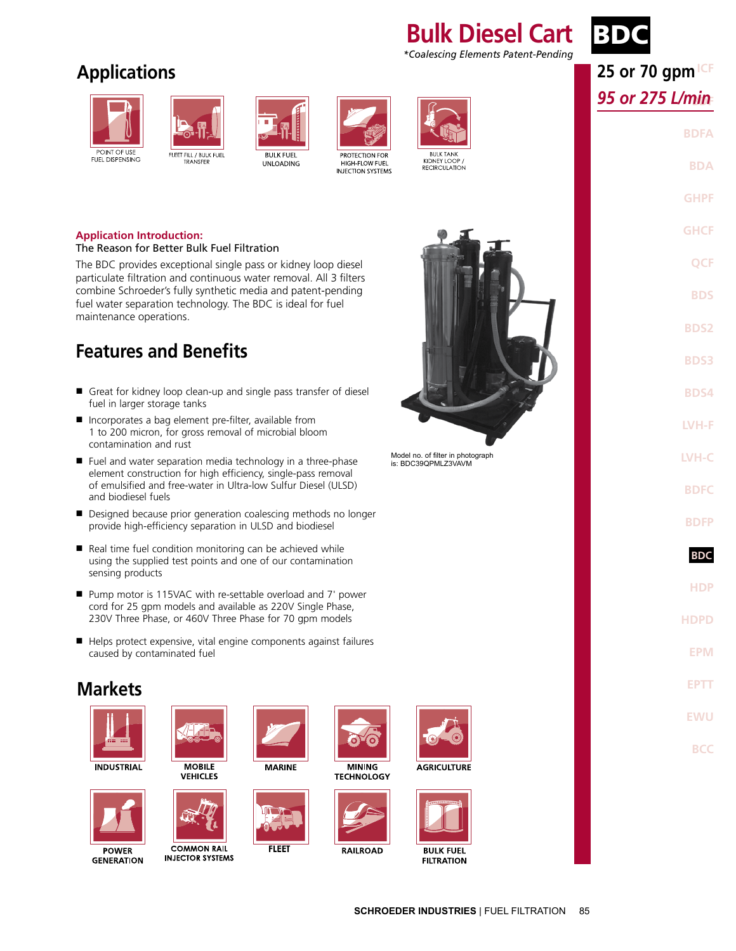### **Bulk Diesel Cart** *\*Coalescing Elements Patent-Pending*

## BD

### **Applications**







**UNLOADING** 



PROTECTION FOR HIGH-FLOW FUEL INJECTION SYSTEMS



RECIRCULATION

#### **Application Introduction:**

#### The Reason for Better Bulk Fuel Filtration

The BDC provides exceptional single pass or kidney loop diesel particulate filtration and continuous water removal. All 3 filters combine Schroeder's fully synthetic media and patent-pending fuel water separation technology. The BDC is ideal for fuel maintenance operations.

### **Features and Benefits**

- Great for kidney loop clean-up and single pass transfer of diesel fuel in larger storage tanks
- Incorporates a bag element pre-filter, available from 1 to 200 micron, for gross removal of microbial bloom contamination and rust
- Fuel and water separation media technology in a three-phase element construction for high efficiency, single-pass removal of emulsified and free-water in Ultra-low Sulfur Diesel (ULSD) and biodiesel fuels
- Designed because prior generation coalescing methods no longer provide high-efficiency separation in ULSD and biodiesel
- Real time fuel condition monitoring can be achieved while using the supplied test points and one of our contamination sensing products
- Pump motor is 115VAC with re-settable overload and 7' power cord for 25 gpm models and available as 220V Single Phase, 230V Three Phase, or 460V Three Phase for 70 gpm models
- Helps protect expensive, vital engine components against failures caused by contaminated fuel



Model no. of filter in photograph is: BDC39QPMLZ3VAVM

**ICF 25 or 70 gpm BDF** *95 or 275 L/min* **BDFA**

> **GHCF QCF BDS**

**BDA**

**GHPF**

**BDS2 BDS3**

**BDS4**

**LVH-F**

**LVH-C**

**BDFC**

**BDFP**

**BDC BDC**

**HDP**

**HDPD**

**EPM**

**EPTT**

**EWU**

**BCC**

**INDUSTRIAL** 

**Markets**



**POWER GENERATION** 



**MOBILE VEHICLES** 



**COMMON RAIL INJECTOR SYSTEMS** 



**MARINE** 

**FLEET** 

**MINING TECHNOLOGY** 



**RAILROAD** 



**AGRICULTURE** 





**SCHROEDER INDUSTRIES** | FUEL FILTRATION 85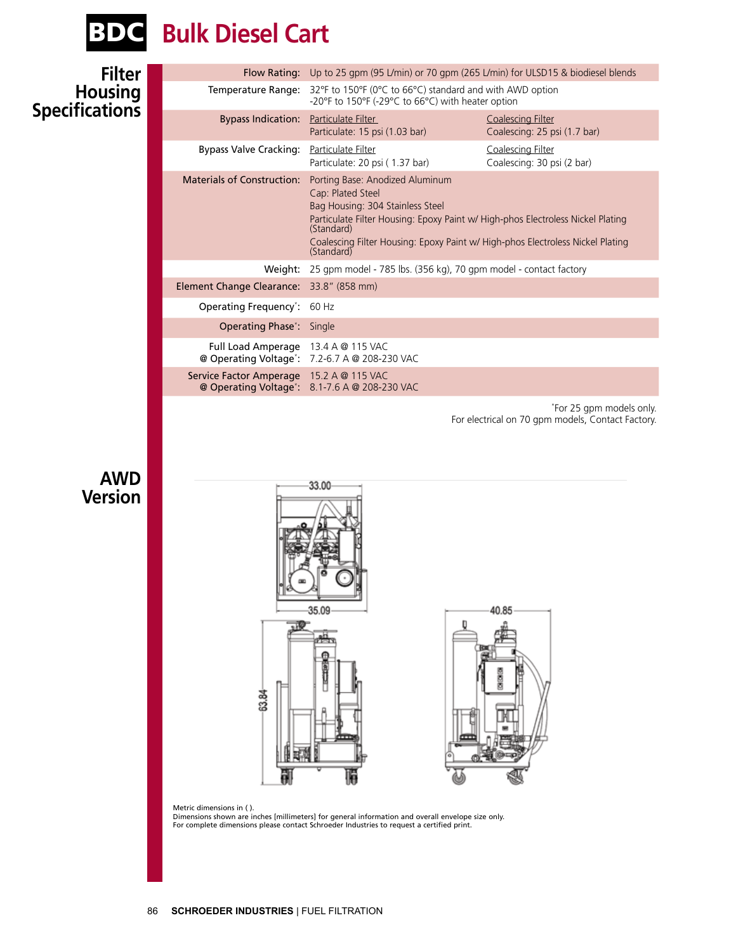

# BDC **Bulk Diesel Cart**

| <b>Filter</b>                |                                          | Flow Rating: Up to 25 gpm (95 L/min) or 70 gpm (265 L/min) for ULSD15 & biodiesel blends                                                                                                                                                                                                  |                                                            |  |
|------------------------------|------------------------------------------|-------------------------------------------------------------------------------------------------------------------------------------------------------------------------------------------------------------------------------------------------------------------------------------------|------------------------------------------------------------|--|
| Housing<br>Specifications    | Temperature Range:                       | -20°F to 150°F (-29°C to 66°C) with heater option                                                                                                                                                                                                                                         | 32°F to 150°F (0°C to 66°C) standard and with AWD option   |  |
|                              | <b>Bypass Indication:</b>                | Particulate Filter<br>Particulate: 15 psi (1.03 bar)                                                                                                                                                                                                                                      | <b>Coalescing Filter</b><br>Coalescing: 25 psi (1.7 bar)   |  |
|                              | <b>Bypass Valve Cracking:</b>            | Particulate Filter<br>Particulate: 20 psi (1.37 bar)                                                                                                                                                                                                                                      | <b>Coalescing Filter</b><br>Coalescing: 30 psi (2 bar)     |  |
|                              | <b>Materials of Construction:</b>        | Porting Base: Anodized Aluminum<br>Cap: Plated Steel<br>Bag Housing: 304 Stainless Steel<br>Particulate Filter Housing: Epoxy Paint w/ High-phos Electroless Nickel Plating<br>(Standard)<br>Coalescing Filter Housing: Epoxy Paint w/ High-phos Electroless Nickel Plating<br>(Standard) |                                                            |  |
|                              |                                          | Weight: 25 gpm model - 785 lbs. (356 kg), 70 gpm model - contact factory                                                                                                                                                                                                                  |                                                            |  |
|                              | Element Change Clearance: 33.8" (858 mm) |                                                                                                                                                                                                                                                                                           |                                                            |  |
|                              | Operating Frequency*: 60 Hz              |                                                                                                                                                                                                                                                                                           |                                                            |  |
|                              | <b>Operating Phase*: Single</b>          |                                                                                                                                                                                                                                                                                           |                                                            |  |
|                              | Full Load Amperage 13.4 A @ 115 VAC      | @ Operating Voltage*: 7.2-6.7 A @ 208-230 VAC                                                                                                                                                                                                                                             |                                                            |  |
|                              | Service Factor Amperage 15.2 A @ 115 VAC | @ Operating Voltage <sup>*</sup> : 8.1-7.6 A @ 208-230 VAC                                                                                                                                                                                                                                |                                                            |  |
| <b>AWD</b><br><b>Version</b> | 63.84<br>Metric dimensions in ().        | 33.00<br>35.09<br>Dimensions shown are inches [millimeters] for general information and overall envelope size only.                                                                                                                                                                       | For electrical on 70 gpm models, Contact Factory.<br>40.85 |  |
|                              |                                          | For complete dimensions please contact Schroeder Industries to request a certified print.                                                                                                                                                                                                 |                                                            |  |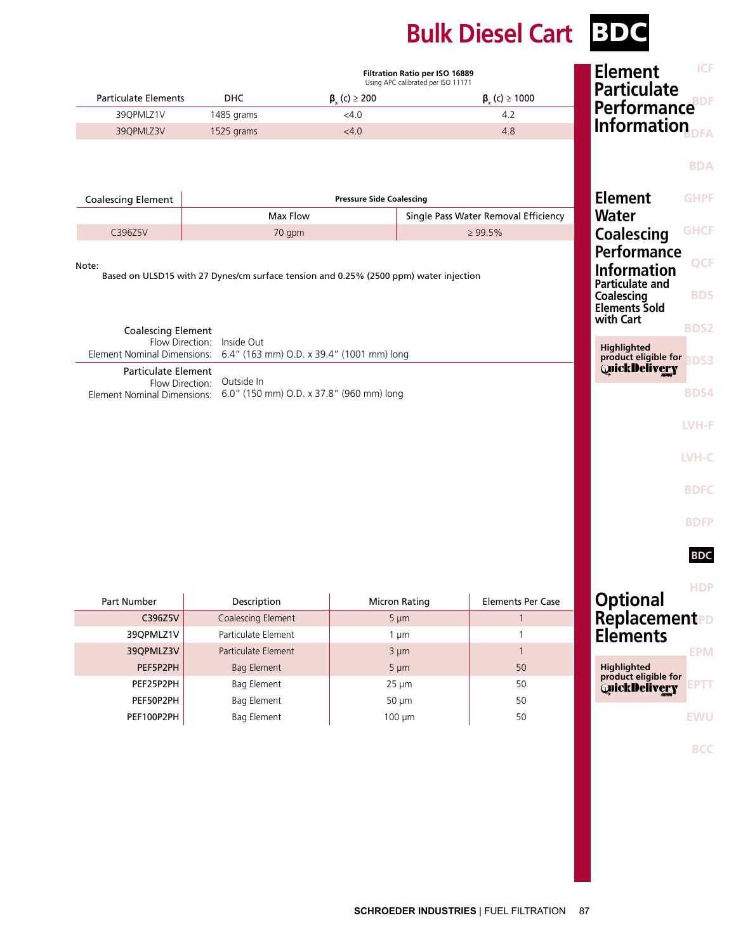## **Bulk Diesel Cart** BDC

|                                               |                                                                                       |                                           | Filtration Ratio per ISO 16889<br>Using APC calibrated per ISO 11171 | ICF<br><b>Element</b>                                                                                                        |
|-----------------------------------------------|---------------------------------------------------------------------------------------|-------------------------------------------|----------------------------------------------------------------------|------------------------------------------------------------------------------------------------------------------------------|
| <b>Particulate Elements</b>                   | <b>DHC</b>                                                                            | $\beta$ <sub>v</sub> (c) $\geq$ 200       | $\beta_{y}$ (c) $\geq 1000$                                          | <b>Particulate</b>                                                                                                           |
| 39QPMLZ1V                                     | 1485 grams                                                                            | < 4.0                                     | 4.2                                                                  | <b>Performance</b> BDF                                                                                                       |
| 39QPMLZ3V                                     | 1525 grams                                                                            | < 4.0                                     | 4.8                                                                  | Information                                                                                                                  |
| <b>Coalescing Element</b>                     |                                                                                       | <b>Pressure Side Coalescing</b>           |                                                                      | <b>BDA</b><br><b>Element</b><br><b>GHPF</b>                                                                                  |
|                                               | Max Flow                                                                              |                                           | Single Pass Water Removal Efficiency                                 | Water                                                                                                                        |
| C396Z5V                                       | 70 gpm                                                                                |                                           | $\geq 99.5\%$                                                        | <b>GHCF</b><br><b>Coalescing</b>                                                                                             |
| <b>Coalescing Element</b>                     | Based on ULSD15 with 27 Dynes/cm surface tension and 0.25% (2500 ppm) water injection |                                           |                                                                      | <b>Information</b><br><b>Particulate and</b><br>Coalescing<br><b>BDS</b><br><b>Elements Sold</b><br>with Cart<br><b>BDS2</b> |
|                                               | Flow Direction: Inside Out                                                            |                                           |                                                                      | <b>Highlighted</b>                                                                                                           |
| Element Nominal Dimensions:                   |                                                                                       | 6.4" (163 mm) O.D. x 39.4" (1001 mm) long |                                                                      | product eligible for<br><b>BDS3</b>                                                                                          |
| <b>Particulate Element</b><br>Flow Direction: | Outside In                                                                            |                                           |                                                                      | <b>QuickDelivery</b>                                                                                                         |
|                                               | Element Nominal Dimensions: 6.0" (150 mm) O.D. x 37.8" (960 mm) long                  |                                           |                                                                      | <b>BDS4</b>                                                                                                                  |
|                                               |                                                                                       |                                           |                                                                      | LVH-F                                                                                                                        |
|                                               |                                                                                       |                                           |                                                                      |                                                                                                                              |
|                                               |                                                                                       |                                           |                                                                      | LVH-C                                                                                                                        |
|                                               |                                                                                       |                                           |                                                                      | <b>BDFC</b>                                                                                                                  |
|                                               |                                                                                       |                                           |                                                                      | <b>BDFP</b>                                                                                                                  |
|                                               |                                                                                       |                                           |                                                                      | <b>BDC</b>                                                                                                                   |
| Part Number                                   | Description                                                                           |                                           | <b>Micron Rating</b>                                                 | <b>HDP</b><br><b>Optional</b><br><b>Elements Per Case</b>                                                                    |
| C396Z5V                                       | Coalescing Element                                                                    |                                           | $5 \mu m$                                                            | ReplacementPD<br>$\mathbf{1}$                                                                                                |
| 39QPMLZ1V                                     | Particulate Element                                                                   |                                           | $1 \mu m$                                                            | <b>Elements</b><br>1                                                                                                         |
| 39QPMLZ3V                                     | Particulate Element                                                                   |                                           | $3 \mu m$                                                            | $\mathbf{1}$<br><b>EPM</b>                                                                                                   |
| PEF5P2PH<br>PEF25P2PH                         | <b>Bag Element</b><br><b>Bag Element</b>                                              |                                           | $5 \mu m$<br>$25 \mu m$                                              | <b>Highlighted</b><br>50<br>product eligible for<br>50                                                                       |

PEF50P2PH Bag Element 50 µm 50 µm 50 PEF100P2PH Bag Element 100 µm 50

**EWU**

**BCC**